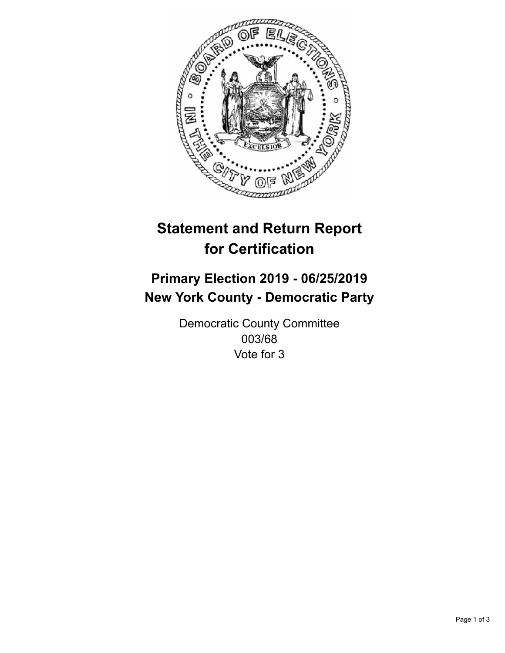

## **Statement and Return Report for Certification**

## **Primary Election 2019 - 06/25/2019 New York County - Democratic Party**

Democratic County Committee 003/68 Vote for 3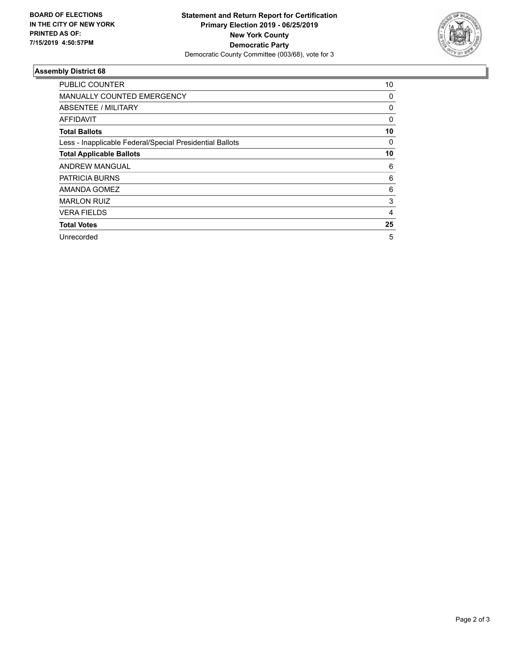

## **Assembly District 68**

| PUBLIC COUNTER                                           | 10             |
|----------------------------------------------------------|----------------|
| <b>MANUALLY COUNTED EMERGENCY</b>                        | 0              |
| ABSENTEE / MILITARY                                      | 0              |
| <b>AFFIDAVIT</b>                                         | 0              |
| <b>Total Ballots</b>                                     | 10             |
| Less - Inapplicable Federal/Special Presidential Ballots | 0              |
| <b>Total Applicable Ballots</b>                          | 10             |
| <b>ANDREW MANGUAL</b>                                    | 6              |
| PATRICIA BURNS                                           | 6              |
| AMANDA GOMEZ                                             | 6              |
| <b>MARLON RUIZ</b>                                       | 3              |
| <b>VERA FIELDS</b>                                       | $\overline{4}$ |
| <b>Total Votes</b>                                       | 25             |
| Unrecorded                                               | 5              |